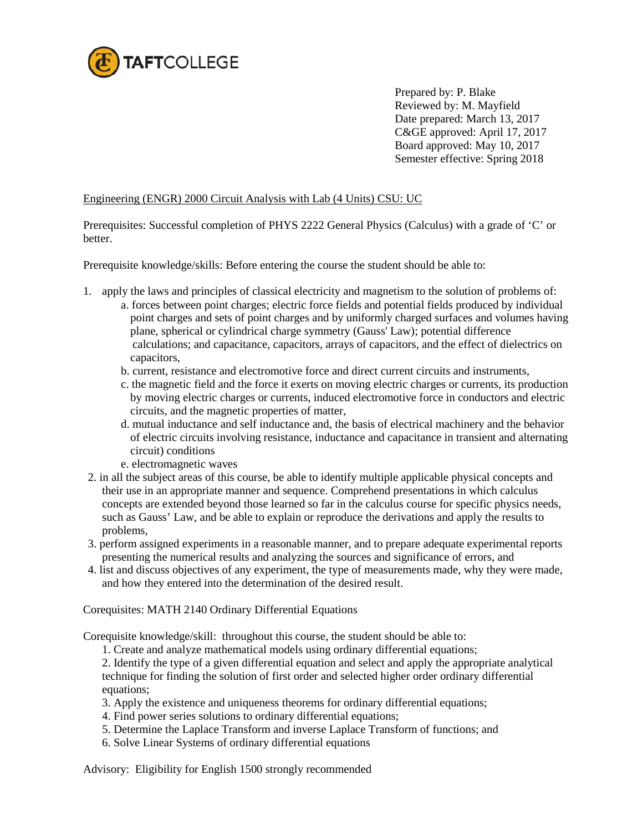

 Prepared by: P. Blake Reviewed by: M. Mayfield Date prepared: March 13, 2017 C&GE approved: April 17, 2017 Board approved: May 10, 2017 Semester effective: Spring 2018

## Engineering (ENGR) 2000 Circuit Analysis with Lab (4 Units) CSU: UC

Prerequisites: Successful completion of PHYS 2222 General Physics (Calculus) with a grade of 'C' or better.

Prerequisite knowledge/skills: Before entering the course the student should be able to:

- 1. apply the laws and principles of classical electricity and magnetism to the solution of problems of:
	- a. forces between point charges; electric force fields and potential fields produced by individual point charges and sets of point charges and by uniformly charged surfaces and volumes having plane, spherical or cylindrical charge symmetry (Gauss' Law); potential difference calculations; and capacitance, capacitors, arrays of capacitors, and the effect of dielectrics on capacitors,
	- b. current, resistance and electromotive force and direct current circuits and instruments,
	- c. the magnetic field and the force it exerts on moving electric charges or currents, its production by moving electric charges or currents, induced electromotive force in conductors and electric circuits, and the magnetic properties of matter,
	- d. mutual inductance and self inductance and, the basis of electrical machinery and the behavior of electric circuits involving resistance, inductance and capacitance in transient and alternating circuit) conditions
	- e. electromagnetic waves
- 2. in all the subject areas of this course, be able to identify multiple applicable physical concepts and their use in an appropriate manner and sequence. Comprehend presentations in which calculus concepts are extended beyond those learned so far in the calculus course for specific physics needs, such as Gauss' Law, and be able to explain or reproduce the derivations and apply the results to problems,
- 3. perform assigned experiments in a reasonable manner, and to prepare adequate experimental reports presenting the numerical results and analyzing the sources and significance of errors, and
- 4. list and discuss objectives of any experiment, the type of measurements made, why they were made, and how they entered into the determination of the desired result.

Corequisites: MATH 2140 Ordinary Differential Equations

Corequisite knowledge/skill: throughout this course, the student should be able to:

1. Create and analyze mathematical models using ordinary differential equations;

2. Identify the type of a given differential equation and select and apply the appropriate analytical technique for finding the solution of first order and selected higher order ordinary differential equations;

- 3. Apply the existence and uniqueness theorems for ordinary differential equations;
- 4. Find power series solutions to ordinary differential equations;
- 5. Determine the Laplace Transform and inverse Laplace Transform of functions; and
- 6. Solve Linear Systems of ordinary differential equations

Advisory: Eligibility for English 1500 strongly recommended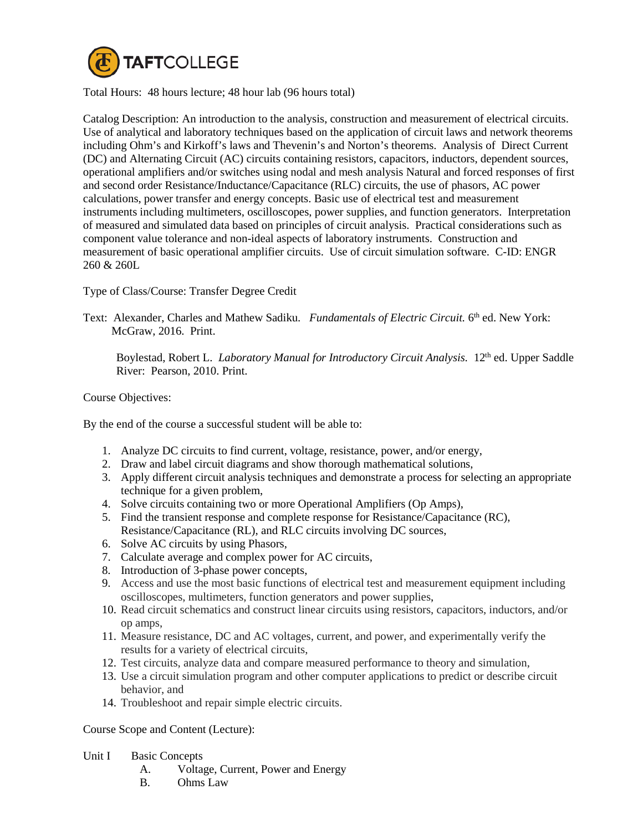

Total Hours: 48 hours lecture; 48 hour lab (96 hours total)

Catalog Description: An introduction to the analysis, construction and measurement of electrical circuits. Use of analytical and laboratory techniques based on the application of circuit laws and network theorems including Ohm's and Kirkoff's laws and Thevenin's and Norton's theorems. Analysis of Direct Current (DC) and Alternating Circuit (AC) circuits containing resistors, capacitors, inductors, dependent sources, operational amplifiers and/or switches using nodal and mesh analysis Natural and forced responses of first and second order Resistance/Inductance/Capacitance (RLC) circuits, the use of phasors, AC power calculations, power transfer and energy concepts. Basic use of electrical test and measurement instruments including multimeters, oscilloscopes, power supplies, and function generators. Interpretation of measured and simulated data based on principles of circuit analysis. Practical considerations such as component value tolerance and non-ideal aspects of laboratory instruments. Construction and measurement of basic operational amplifier circuits. Use of circuit simulation software. C-ID: ENGR 260 & 260L

Type of Class/Course: Transfer Degree Credit

Text: Alexander, Charles and Mathew Sadiku. *Fundamentals of Electric Circuit.* 6<sup>th</sup> ed. New York: McGraw, 2016. Print.

Boylestad, Robert L. *Laboratory Manual for Introductory Circuit Analysis.* 12<sup>th</sup> ed. Upper Saddle River: Pearson, 2010. Print.

Course Objectives:

By the end of the course a successful student will be able to:

- 1. Analyze DC circuits to find current, voltage, resistance, power, and/or energy,
- 2. Draw and label circuit diagrams and show thorough mathematical solutions,
- 3. Apply different circuit analysis techniques and demonstrate a process for selecting an appropriate technique for a given problem,
- 4. Solve circuits containing two or more Operational Amplifiers (Op Amps),
- 5. Find the transient response and complete response for Resistance/Capacitance (RC), Resistance/Capacitance (RL), and RLC circuits involving DC sources,
- 6. Solve AC circuits by using Phasors,
- 7. Calculate average and complex power for AC circuits,
- 8. Introduction of 3-phase power concepts,
- 9. Access and use the most basic functions of electrical test and measurement equipment including oscilloscopes, multimeters, function generators and power supplies,
- 10. Read circuit schematics and construct linear circuits using resistors, capacitors, inductors, and/or op amps,
- 11. Measure resistance, DC and AC voltages, current, and power, and experimentally verify the results for a variety of electrical circuits,
- 12. Test circuits, analyze data and compare measured performance to theory and simulation,
- 13. Use a circuit simulation program and other computer applications to predict or describe circuit behavior, and
- 14. Troubleshoot and repair simple electric circuits.

Course Scope and Content (Lecture):

Unit I Basic Concepts

- A. Voltage, Current, Power and Energy
- B. Ohms Law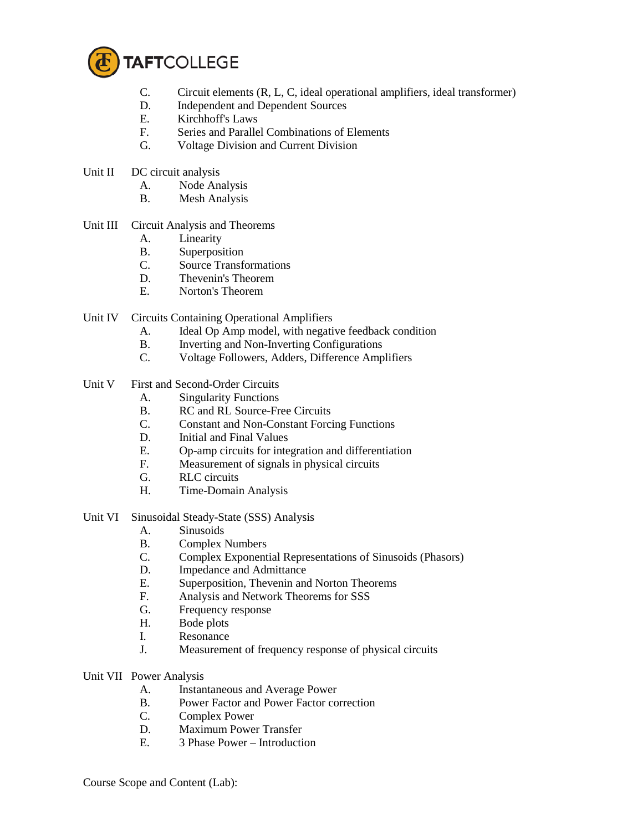

- C. Circuit elements (R, L, C, ideal operational amplifiers, ideal transformer)
- D. Independent and Dependent Sources
- E. Kirchhoff's Laws
- F. Series and Parallel Combinations of Elements
- G. Voltage Division and Current Division
- Unit II DC circuit analysis
	- A. Node Analysis
	- B. Mesh Analysis
- Unit III Circuit Analysis and Theorems
	- A. Linearity
	- B. Superposition
	- C. Source Transformations
	- D. Thevenin's Theorem
	- E. Norton's Theorem
- Unit IV Circuits Containing Operational Amplifiers
	- A. Ideal Op Amp model, with negative feedback condition
	- B. Inverting and Non-Inverting Configurations<br>C. Voltage Followers. Adders. Difference Amp
	- Voltage Followers, Adders, Difference Amplifiers
- Unit V First and Second-Order Circuits
	- A. Singularity Functions<br>B. RC and RL Source-Fr
	- RC and RL Source-Free Circuits
	- C. Constant and Non-Constant Forcing Functions
	- D. Initial and Final Values
	- E. Op-amp circuits for integration and differentiation
	- F. Measurement of signals in physical circuits
	- G. RLC circuits
	- H. Time-Domain Analysis
- Unit VI Sinusoidal Steady-State (SSS) Analysis
	- A. Sinusoids
	- B. Complex Numbers
	- C. Complex Exponential Representations of Sinusoids (Phasors)
	- D. Impedance and Admittance
	- E. Superposition, Thevenin and Norton Theorems
	- F. Analysis and Network Theorems for SSS
	- G. Frequency response
	- H. Bode plots
	- I. Resonance
	- J. Measurement of frequency response of physical circuits
- Unit VII Power Analysis
	- A. Instantaneous and Average Power
	- B. Power Factor and Power Factor correction
	- C. Complex Power
	- D. Maximum Power Transfer
	- E. 3 Phase Power Introduction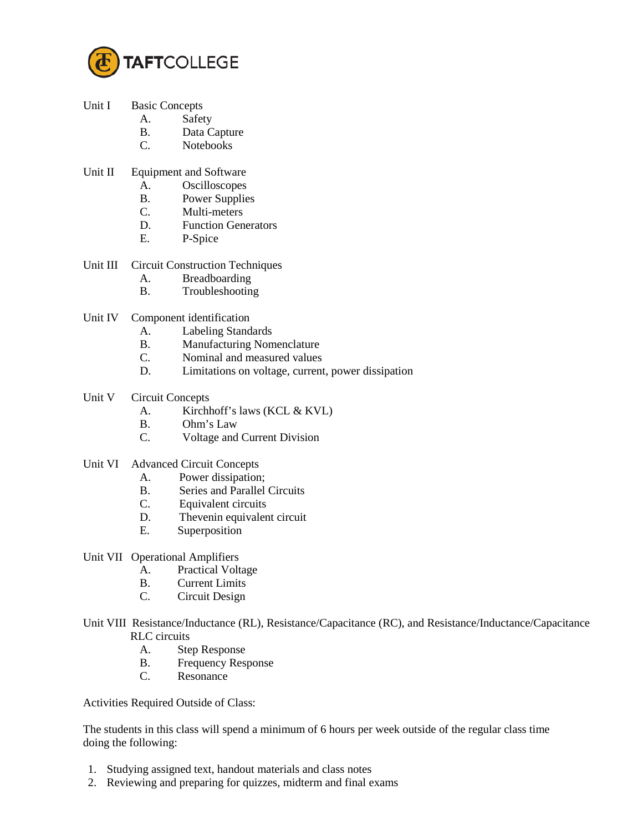

- Unit I Basic Concepts
	- A. Safety
	- B. Data Capture
	- C. Notebooks
- Unit II Equipment and Software
	- A. Oscilloscopes
	- B. Power Supplies
	- C. Multi-meters
	- D. Function Generators
	- E. P-Spice
- Unit III Circuit Construction Techniques
	- A. Breadboarding
	- B. Troubleshooting
- Unit IV Component identification
	- A. Labeling Standards
	- B. Manufacturing Nomenclature<br>C. Nominal and measured values
	- Nominal and measured values
	- D. Limitations on voltage, current, power dissipation
- Unit V Circuit Concepts
	- A. Kirchhoff's laws (KCL & KVL)
	- B. Ohm's Law
	- C. Voltage and Current Division
- Unit VI Advanced Circuit Concepts
	- A. Power dissipation;
	- B. Series and Parallel Circuits<br>C. Equivalent circuits
	- Equivalent circuits
	- D. Thevenin equivalent circuit
	- E. Superposition
- Unit VII Operational Amplifiers
	- A. Practical Voltage
	- B. Current Limits
	- C. Circuit Design
- Unit VIII Resistance/Inductance (RL), Resistance/Capacitance (RC), and Resistance/Inductance/Capacitance RLC circuits
	- A. Step Response
	- B. Frequency Response<br>C. Resonance
	- Resonance

Activities Required Outside of Class:

The students in this class will spend a minimum of 6 hours per week outside of the regular class time doing the following:

- 1. Studying assigned text, handout materials and class notes
- 2. Reviewing and preparing for quizzes, midterm and final exams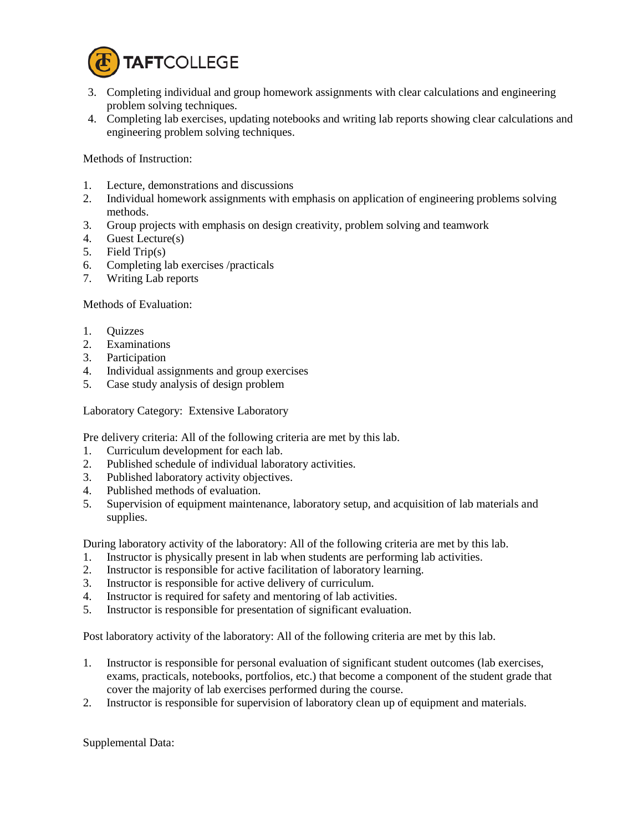

- 3. Completing individual and group homework assignments with clear calculations and engineering problem solving techniques.
- 4. Completing lab exercises, updating notebooks and writing lab reports showing clear calculations and engineering problem solving techniques.

Methods of Instruction:

- 1. Lecture, demonstrations and discussions
- 2. Individual homework assignments with emphasis on application of engineering problems solving methods.
- 3. Group projects with emphasis on design creativity, problem solving and teamwork
- 4. Guest Lecture(s)
- 5. Field Trip(s)
- 6. Completing lab exercises /practicals
- 7. Writing Lab reports

Methods of Evaluation:

- 1. Quizzes
- 2. Examinations
- 3. Participation
- 4. Individual assignments and group exercises
- 5. Case study analysis of design problem

Laboratory Category: Extensive Laboratory

Pre delivery criteria: All of the following criteria are met by this lab.

- 1. Curriculum development for each lab.
- 2. Published schedule of individual laboratory activities.
- 3. Published laboratory activity objectives.
- 4. Published methods of evaluation.
- 5. Supervision of equipment maintenance, laboratory setup, and acquisition of lab materials and supplies.

During laboratory activity of the laboratory: All of the following criteria are met by this lab.

- 1. Instructor is physically present in lab when students are performing lab activities.
- 2. Instructor is responsible for active facilitation of laboratory learning.
- 3. Instructor is responsible for active delivery of curriculum.
- 4. Instructor is required for safety and mentoring of lab activities.
- 5. Instructor is responsible for presentation of significant evaluation.

Post laboratory activity of the laboratory: All of the following criteria are met by this lab.

- 1. Instructor is responsible for personal evaluation of significant student outcomes (lab exercises, exams, practicals, notebooks, portfolios, etc.) that become a component of the student grade that cover the majority of lab exercises performed during the course.
- 2. Instructor is responsible for supervision of laboratory clean up of equipment and materials.

Supplemental Data: